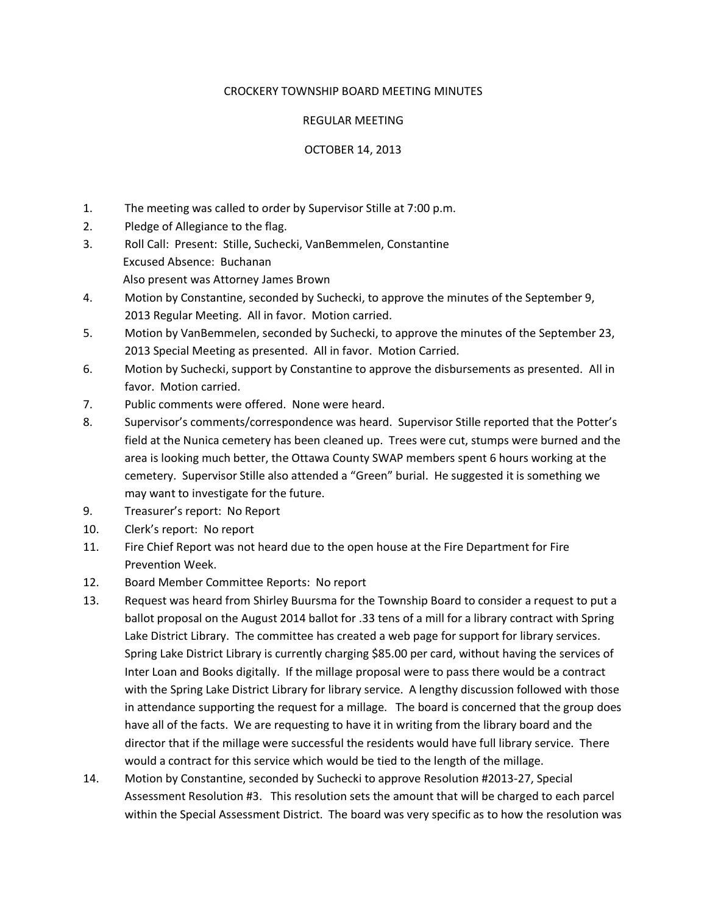## CROCKERY TOWNSHIP BOARD MEETING MINUTES

## REGULAR MEETING

## OCTOBER 14, 2013

- 1. The meeting was called to order by Supervisor Stille at 7:00 p.m.
- 2. Pledge of Allegiance to the flag.
- 3. Roll Call: Present: Stille, Suchecki, VanBemmelen, Constantine Excused Absence: Buchanan Also present was Attorney James Brown
- 4. Motion by Constantine, seconded by Suchecki, to approve the minutes of the September 9, 2013 Regular Meeting. All in favor. Motion carried.
- 5. Motion by VanBemmelen, seconded by Suchecki, to approve the minutes of the September 23, 2013 Special Meeting as presented. All in favor. Motion Carried.
- 6. Motion by Suchecki, support by Constantine to approve the disbursements as presented. All in favor. Motion carried.
- 7. Public comments were offered. None were heard.
- 8. Supervisor's comments/correspondence was heard. Supervisor Stille reported that the Potter's field at the Nunica cemetery has been cleaned up. Trees were cut, stumps were burned and the area is looking much better, the Ottawa County SWAP members spent 6 hours working at the cemetery. Supervisor Stille also attended a "Green" burial. He suggested it is something we may want to investigate for the future.
- 9. Treasurer's report: No Report
- 10. Clerk's report: No report
- 11. Fire Chief Report was not heard due to the open house at the Fire Department for Fire Prevention Week.
- 12. Board Member Committee Reports: No report
- 13. Request was heard from Shirley Buursma for the Township Board to consider a request to put a ballot proposal on the August 2014 ballot for .33 tens of a mill for a library contract with Spring Lake District Library. The committee has created a web page for support for library services. Spring Lake District Library is currently charging \$85.00 per card, without having the services of Inter Loan and Books digitally. If the millage proposal were to pass there would be a contract with the Spring Lake District Library for library service. A lengthy discussion followed with those in attendance supporting the request for a millage. The board is concerned that the group does have all of the facts. We are requesting to have it in writing from the library board and the director that if the millage were successful the residents would have full library service. There would a contract for this service which would be tied to the length of the millage.
- 14. Motion by Constantine, seconded by Suchecki to approve Resolution #2013-27, Special Assessment Resolution #3. This resolution sets the amount that will be charged to each parcel within the Special Assessment District. The board was very specific as to how the resolution was